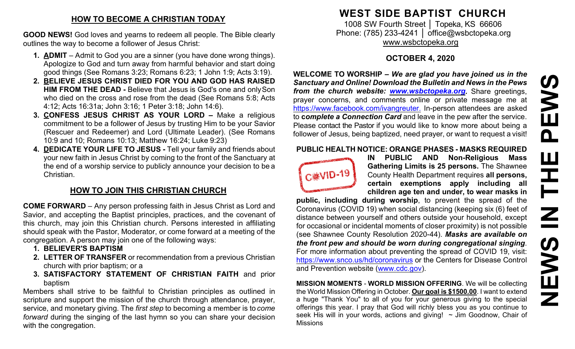## **HOW TO BECOME A CHRISTIAN TODAY**

**GOOD NEWS!** God loves and yearns to redeem all people. The Bible clearly outlines the way to become a follower of Jesus Christ:

- **1. ADMIT**  Admit to God you are a sinner (you have done wrong things). Apologize to God and turn away from harmful behavior and start doing good things (See Romans 3:23; Romans 6:23; 1 John 1:9; Acts 3:19).
- **2. BELIEVE JESUS CHRIST DIED FOR YOU AND GOD HAS RAISED HIM FROM THE DEAD -** Believe that Jesus is God's one and onlySon who died on the cross and rose from the dead (See Romans 5:8; Acts 4:12; Acts 16:31a; John 3:16; 1 Peter 3:18; John 14:6).
- **3. CONFESS JESUS CHRIST AS YOUR LORD –** Make a religious commitment to be a follower of Jesus by trusting Him to be your Savior (Rescuer and Redeemer) and Lord (Ultimate Leader). (See Romans 10:9 and 10; Romans 10:13; Matthew 16:24; Luke 9:23)
- **4. DEDICATE YOUR LIFE TO JESUS -** Tell your family and friends about your new faith in Jesus Christ by coming to the front of the Sanctuary at the end of a worship service to publicly announce your decision to be a Christian.

# **HOW TO JOIN THIS CHRISTIAN CHURCH**

**COME FORWARD** – Any person professing faith in Jesus Christ as Lord and Savior, and accepting the Baptist principles, practices, and the covenant of this church, may join this Christian church. Persons interested in affiliating should speak with the Pastor, Moderator, or come forward at a meeting of the congregation. A person may join one of the following ways:

- **1. BELIEVER'S BAPTISM**
- **2. LETTER OF TRANSFER** or recommendation from a previous Christian church with prior baptism; or a
- **3. SATISFACTORY STATEMENT OF CHRISTIAN FAITH** and prior baptism

Members shall strive to be faithful to Christian principles as outlined in scripture and support the mission of the church through attendance, prayer, service, and monetary giving. The *first step* to becoming a member is to *come forward* during the singing of the last hymn so you can share your decision with the congregation.

# **WEST SIDE BAPTIST CHURCH**

1008 SW Fourth Street | Topeka, KS 66606 Phone: (785) 233-4241 │ [office@wsbctopeka.org](mailto:office@wsbctopeka.org) [www.wsbctopeka.org](http://www.wsbctopeka.org/)

# **OCTOBER 4, 2020**

**WELCOME TO WORSHIP –** *We are glad you have joined us in the Sanctuary and Online! Download the Bulletin and News in the Pews from the church website: [www.wsbctopeka.org.](http://www.wsbctopeka.org/)* Share greetings, prayer concerns, and comments online or private message me at <https://www.facebook.com/ivangreuter.> In-person attendees are asked to **c***omplete a Connection Card* and leave in the pew after the service. Please contact the Pastor if you would like to know more about being a follower of Jesus, being baptized, need prayer, or want to request a visit!

#### **PUBLIC HEALTH NOTICE: ORANGE PHASES - MASKS REQUIRED**



**IN PUBLIC AND Non-Religious Mass Gathering Limits is 25 persons.** The Shawnee County Health Department requires **all persons, certain exemptions apply including all children age ten and under, to wear masks in** 

**public, including during worship**, to prevent the spread of the Coronavirus (COVID 19) when social distancing (keeping six (6) feet of distance between yourself and others outside your household, except for occasional or incidental moments of closer proximity) is not possible (see Shawnee County Resolution 2020-44). *Masks are available on the front pew and should be worn during congregational singing*. For more information about preventing the spread of COVID 19, visit: <https://www.snco.us/hd/coronavirus> or the Centers for Disease Control and Prevention website [\(www.cdc.gov\)](http://www.cdc.gov/).

**MISSION MOMENTS** - **WORLD MISSION OFFERING**. We will be collecting the World Mission Offering in October. **Our goal is \$1500.00**. I want to extend a huge "Thank You" to all of you for your generous giving to the special offerings this year. I pray that God will richly bless you as you continue to seek His will in your words, actions and giving!  $\sim$  Jim Goodnow, Chair of Missions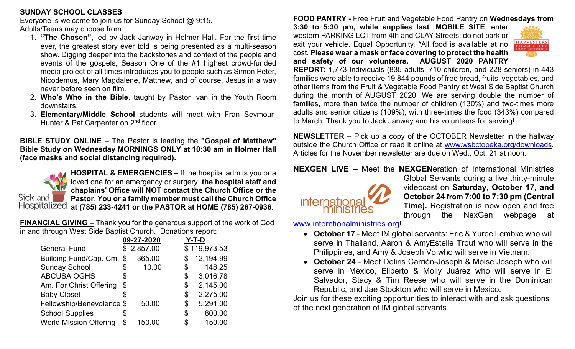#### **SUNDAY SCHOOL CLASSES**

Everyone is welcome to join us for Sunday School @ 9:15. Adults/Teens may choose from:

- 1. **"The Chosen",** led by Jack Janway in Holmer Hall. For the first time ever, the greatest story ever told is being presented as a multi-season show. Digging deeper into the backstories and context of the people and events of the gospels, Season One of the #1 highest crowd-funded media project of all times introduces you to people such as Simon Peter, Nicodemus, Mary Magdalene, Matthew, and of course, Jesus in a way never before seen on film.
- 2. **Who's Who in the Bible**, taught by Pastor Ivan in the Youth Room downstairs.
- 3. **Elementary/Middle School** students will meet with Fran Seymour-Hunter & Pat Carpenter on 2<sup>nd</sup> floor.

**BIBLE STUDY ONLINE** – The Pastor is leading the **"Gospel of Matthew" Bible Study on Wednesday MORNINGS ONLY at 10:30 am in Holmer Hall (face masks and social distancing required).** 



**HOSPITAL & EMERGENCIES –** If the hospital admits you or a loved one for an emergency or surgery, **the hospital staff and chaplains' Office will NOT contact the Church Office or the Pastor**. **You or a family member must call the Church Office at (785) 233-4241 or the PASTOR at HOME (785) 267-0936**.

**FINANCIAL GIVING** – Thank you for the generous support of the work of God in and through West Side Baptist Church. Donations report:

|                               |    | 09-27-2020 | Y-T-D           |
|-------------------------------|----|------------|-----------------|
| <b>General Fund</b>           |    | \$2,857.00 | \$119,973.53    |
| Building Fund/Cap. Cm.        | \$ | 365.00     | \$<br>12,194.99 |
| <b>Sunday School</b>          | \$ | 10.00      | \$<br>148.25    |
| <b>ABCUSA OGHS</b>            | \$ |            | \$<br>3,016.78  |
| Am. For Christ Offering       | \$ |            | \$<br>2,145.00  |
| <b>Baby Closet</b>            | S  |            | \$<br>2,275.00  |
| Fellowship/Benevolence \$     |    | 50.00      | \$<br>5,291.00  |
| <b>School Supplies</b>        | \$ |            | \$<br>800.00    |
| <b>World Mission Offering</b> | \$ | 150.00     | \$<br>150.00    |

**FOOD PANTRY -** Free Fruit and Vegetable Food Pantry on **Wednesdays from** 

**3:30 to 5:30 pm, while supplies last**. **MOBILE SITE**: enter western PARKING LOT from 4th and CLAY Streets; do not park or exit your vehicle. Equal Opportunity. \*All food is available at no cost. **Please wear a mask or face covering to protect the health and safety of our volunteers. AUGUST 2020 PANTRY** 



**REPORT:** 1,773 Individuals (835 adults, 710 children, and 228 seniors) in 443 families were able to receive 19,844 pounds of free bread, fruits, vegetables, and other items from the Fruit & Vegetable Food Pantry at West Side Baptist Church during the month of AUGUST 2020. We are serving double the number of families, more than twice the number of children (130%) and two-times more adults and senior citizens (109%), with three-times the food (343%) compared to March. Thank you to Jack Janway and his volunteers for serving!

**NEWSLETTER** – Pick up a copy of the OCTOBER Newsletter in the hallway outside the Church Office or read it online at [www.wsbctopeka.org/downloads.](http://www.wsbctopeka.org/downloads) Articles for the November newsletter are due on Wed., Oct. 21 at noon.

**NEXGEN LIVE –** Meet the **NEXGEN**eration of International Ministries



Global Servants during a live thirty-minute videocast on **Saturday, October 17, and October 24 from 7:00 to 7:30 pm (Central Time).** Registration is now open and free through the NexGen webpage at

[www.interntionalministries.org!](http://www.interntionalministries.org/)

- **October 17** Meet IM global servants: Eric & Yuree Lembke who will serve in Thailand, Aaron & AmyEstelle Trout who will serve in the Philippines, and Amy & Joseph Vo who will serve in Vietnam.
- **October 24** Meet Deliris Carrión-Joseph & Moise Joseph who will serve in Mexico, Eliberto & Molly Juárez who will serve in El Salvador, Stacy & Tim Reese who will serve in the Dominican Republic, and Jae Stockton who will serve in Mexico.

Join us for these exciting opportunities to interact with and ask questions of the next generation of IM global servants.